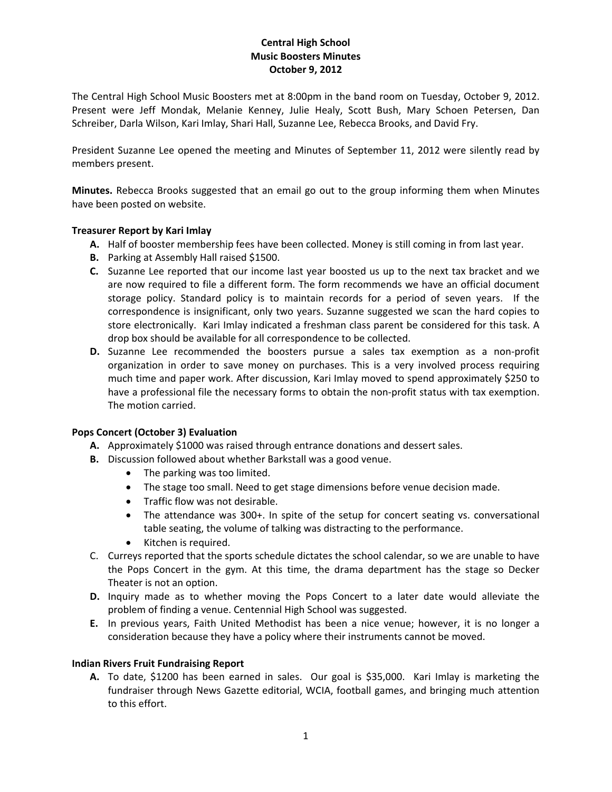# **Central High School Music Boosters Minutes October 9, 2012**

The Central High School Music Boosters met at 8:00pm in the band room on Tuesday, October 9, 2012. Present were Jeff Mondak, Melanie Kenney, Julie Healy, Scott Bush, Mary Schoen Petersen, Dan Schreiber, Darla Wilson, Kari Imlay, Shari Hall, Suzanne Lee, Rebecca Brooks, and David Fry.

President Suzanne Lee opened the meeting and Minutes of September 11, 2012 were silently read by members present.

**Minutes.** Rebecca Brooks suggested that an email go out to the group informing them when Minutes have been posted on website.

## **Treasurer Report by Kari Imlay**

- **A.** Half of booster membership fees have been collected. Money is still coming in from last year.
- **B.** Parking at Assembly Hall raised \$1500.
- **C.** Suzanne Lee reported that our income last year boosted us up to the next tax bracket and we are now required to file a different form. The form recommends we have an official document storage policy. Standard policy is to maintain records for a period of seven years. If the correspondence is insignificant, only two years. Suzanne suggested we scan the hard copies to store electronically. Kari Imlay indicated a freshman class parent be considered for this task. A drop box should be available for all correspondence to be collected.
- **D.** Suzanne Lee recommended the boosters pursue a sales tax exemption as a non-profit organization in order to save money on purchases. This is a very involved process requiring much time and paper work. After discussion, Kari Imlay moved to spend approximately \$250 to have a professional file the necessary forms to obtain the non-profit status with tax exemption. The motion carried.

## **Pops Concert (October 3) Evaluation**

- **A.** Approximately \$1000 was raised through entrance donations and dessert sales.
- **B.** Discussion followed about whether Barkstall was a good venue.
	- The parking was too limited.
	- The stage too small. Need to get stage dimensions before venue decision made.
	- Traffic flow was not desirable.
	- The attendance was 300+. In spite of the setup for concert seating vs. conversational table seating, the volume of talking was distracting to the performance.
	- Kitchen is required.
- C. Curreys reported that the sports schedule dictates the school calendar, so we are unable to have the Pops Concert in the gym. At this time, the drama department has the stage so Decker Theater is not an option.
- **D.** Inquiry made as to whether moving the Pops Concert to a later date would alleviate the problem of finding a venue. Centennial High School was suggested.
- **E.** In previous years, Faith United Methodist has been a nice venue; however, it is no longer a consideration because they have a policy where their instruments cannot be moved.

#### **Indian Rivers Fruit Fundraising Report**

**A.** To date, \$1200 has been earned in sales. Our goal is \$35,000. Kari Imlay is marketing the fundraiser through News Gazette editorial, WCIA, football games, and bringing much attention to this effort.